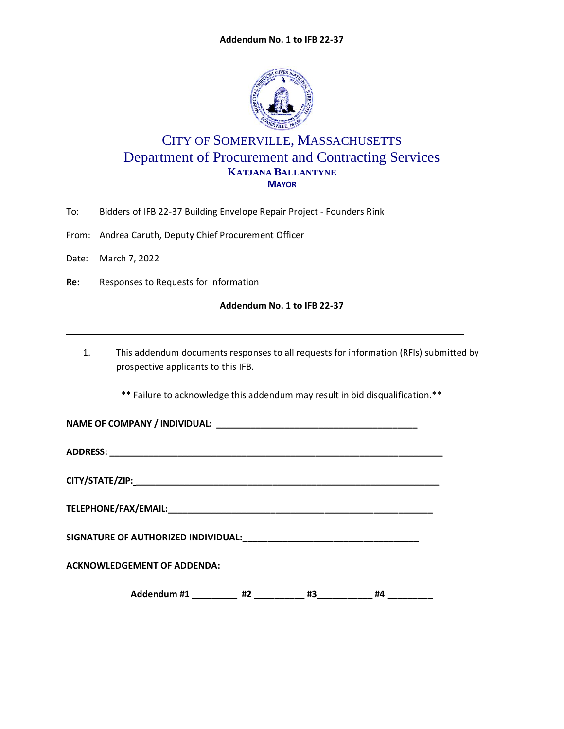

## CITY OF SOMERVILLE, MASSACHUSETTS Department of Procurement and Contracting Services **KATJANA BALLANTYNE MAYOR**

- To: Bidders of IFB 22-37 Building Envelope Repair Project Founders Rink
- From: Andrea Caruth, Deputy Chief Procurement Officer
- Date: March 7, 2022
- **Re:** Responses to Requests for Information

## **Addendum No. 1 to IFB 22-37**

1. This addendum documents responses to all requests for information (RFIs) submitted by prospective applicants to this IFB.

\*\* Failure to acknowledge this addendum may result in bid disqualification.\*\*

**NAME OF COMPANY / INDIVIDUAL: \_\_\_\_\_\_\_\_\_\_\_\_\_\_\_\_\_\_\_\_\_\_\_\_\_\_\_\_\_\_\_\_\_\_\_\_\_\_\_\_\_**

**ADDRESS: \_\_\_\_\_\_\_\_\_\_\_\_\_\_\_\_\_\_\_\_\_\_\_\_\_\_\_\_\_\_\_\_\_\_\_\_\_\_\_\_\_\_\_\_\_\_\_\_\_\_\_\_\_\_\_\_\_\_\_\_\_\_\_\_\_\_\_\_**

**CITY/STATE/ZIP: \_\_\_\_\_\_\_\_\_\_\_\_\_\_\_\_\_\_\_\_\_\_\_\_\_\_\_\_\_\_\_\_\_\_\_\_\_\_\_\_\_\_\_\_\_\_\_\_\_\_\_\_\_\_\_\_\_\_\_\_\_\_**

**TELEPHONE/FAX/EMAIL:\_\_\_\_\_\_\_\_\_\_\_\_\_\_\_\_\_\_\_\_\_\_\_\_\_\_\_\_\_\_\_\_\_\_\_\_\_\_\_\_\_\_\_\_\_\_\_\_\_\_\_\_\_\_**

**SIGNATURE OF AUTHORIZED INDIVIDUAL:\_\_\_\_\_\_\_\_\_\_\_\_\_\_\_\_\_\_\_\_\_\_\_\_\_\_\_\_\_\_\_\_\_\_\_**

**ACKNOWLEDGEMENT OF ADDENDA:**

Addendum #1 \_\_\_\_\_\_\_\_\_ #2 \_\_\_\_\_\_\_\_ #3\_\_\_\_\_\_\_\_\_ #4 \_\_\_\_\_\_\_\_